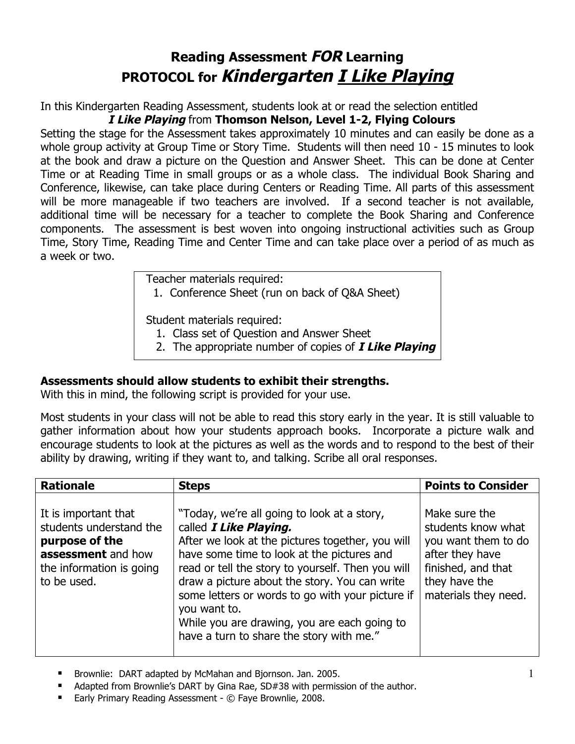## **Reading Assessment FOR Learning PROTOCOL for Kindergarten I Like Playing**

In this Kindergarten Reading Assessment, students look at or read the selection entitled

## **I Like Playing** from **Thomson Nelson, Level 1-2, Flying Colours**

Setting the stage for the Assessment takes approximately 10 minutes and can easily be done as a whole group activity at Group Time or Story Time. Students will then need 10 - 15 minutes to look at the book and draw a picture on the Question and Answer Sheet. This can be done at Center Time or at Reading Time in small groups or as a whole class. The individual Book Sharing and Conference, likewise, can take place during Centers or Reading Time. All parts of this assessment will be more manageable if two teachers are involved. If a second teacher is not available, additional time will be necessary for a teacher to complete the Book Sharing and Conference components. The assessment is best woven into ongoing instructional activities such as Group Time, Story Time, Reading Time and Center Time and can take place over a period of as much as a week or two.

Teacher materials required:

1. Conference Sheet (run on back of Q&A Sheet)

Student materials required:

- 1. Class set of Question and Answer Sheet
- 2. The appropriate number of copies of **I Like Playing**

## **Assessments should allow students to exhibit their strengths.**

With this in mind, the following script is provided for your use.

Most students in your class will not be able to read this story early in the year. It is still valuable to gather information about how your students approach books. Incorporate a picture walk and encourage students to look at the pictures as well as the words and to respond to the best of their ability by drawing, writing if they want to, and talking. Scribe all oral responses.

| <b>Rationale</b>                                                                                                                   | <b>Steps</b>                                                                                                                                                                                                                                                                                                                                                                                                                                  | <b>Points to Consider</b>                                                                                                                    |
|------------------------------------------------------------------------------------------------------------------------------------|-----------------------------------------------------------------------------------------------------------------------------------------------------------------------------------------------------------------------------------------------------------------------------------------------------------------------------------------------------------------------------------------------------------------------------------------------|----------------------------------------------------------------------------------------------------------------------------------------------|
| It is important that<br>students understand the<br>purpose of the<br>assessment and how<br>the information is going<br>to be used. | "Today, we're all going to look at a story,<br>called I Like Playing.<br>After we look at the pictures together, you will<br>have some time to look at the pictures and<br>read or tell the story to yourself. Then you will<br>draw a picture about the story. You can write<br>some letters or words to go with your picture if<br>you want to.<br>While you are drawing, you are each going to<br>have a turn to share the story with me." | Make sure the<br>students know what<br>you want them to do<br>after they have<br>finished, and that<br>they have the<br>materials they need. |

- **Brownlie: DART adapted by McMahan and Bjornson. Jan. 2005.**
- Adapted from Brownlie's DART by Gina Rae, SD#38 with permission of the author.
- Early Primary Reading Assessment © Faye Brownlie, 2008.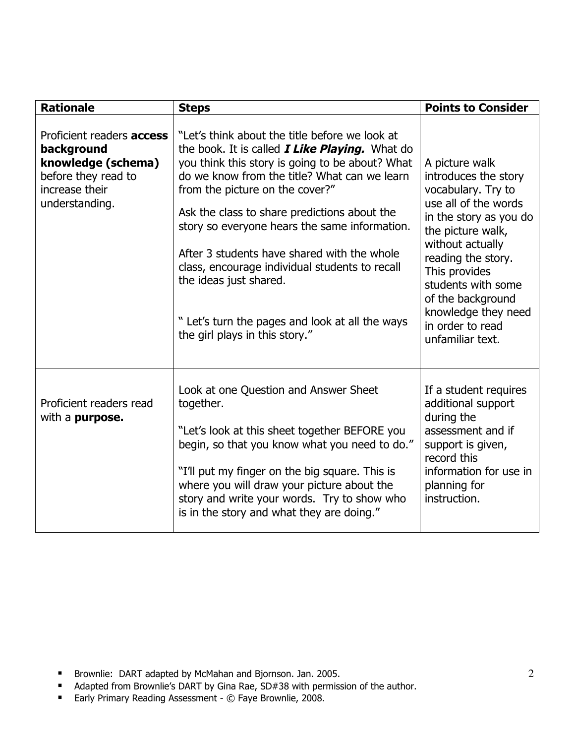| <b>Rationale</b>                                                                                                                | <b>Steps</b>                                                                                                                                                                                                                                                                                                                                                                                                                                                                                                                                                    | <b>Points to Consider</b>                                                                                                                                                                                                                                                                                |
|---------------------------------------------------------------------------------------------------------------------------------|-----------------------------------------------------------------------------------------------------------------------------------------------------------------------------------------------------------------------------------------------------------------------------------------------------------------------------------------------------------------------------------------------------------------------------------------------------------------------------------------------------------------------------------------------------------------|----------------------------------------------------------------------------------------------------------------------------------------------------------------------------------------------------------------------------------------------------------------------------------------------------------|
| Proficient readers <b>access</b><br>background<br>knowledge (schema)<br>before they read to<br>increase their<br>understanding. | "Let's think about the title before we look at<br>the book. It is called <i>I Like Playing</i> . What do<br>you think this story is going to be about? What<br>do we know from the title? What can we learn<br>from the picture on the cover?"<br>Ask the class to share predictions about the<br>story so everyone hears the same information.<br>After 3 students have shared with the whole<br>class, encourage individual students to recall<br>the ideas just shared.<br>" Let's turn the pages and look at all the ways<br>the girl plays in this story." | A picture walk<br>introduces the story<br>vocabulary. Try to<br>use all of the words<br>in the story as you do<br>the picture walk,<br>without actually<br>reading the story.<br>This provides<br>students with some<br>of the background<br>knowledge they need<br>in order to read<br>unfamiliar text. |
| Proficient readers read<br>with a <b>purpose.</b>                                                                               | Look at one Question and Answer Sheet<br>together.<br>"Let's look at this sheet together BEFORE you<br>begin, so that you know what you need to do."<br>"I'll put my finger on the big square. This is<br>where you will draw your picture about the<br>story and write your words. Try to show who<br>is in the story and what they are doing."                                                                                                                                                                                                                | If a student requires<br>additional support<br>during the<br>assessment and if<br>support is given,<br>record this<br>information for use in<br>planning for<br>instruction.                                                                                                                             |

- **Brownlie: DART adapted by McMahan and Bjornson. Jan. 2005.**
- **Adapted from Brownlie's DART by Gina Rae, SD#38 with permission of the author.**
- Early Primary Reading Assessment © Faye Brownlie, 2008.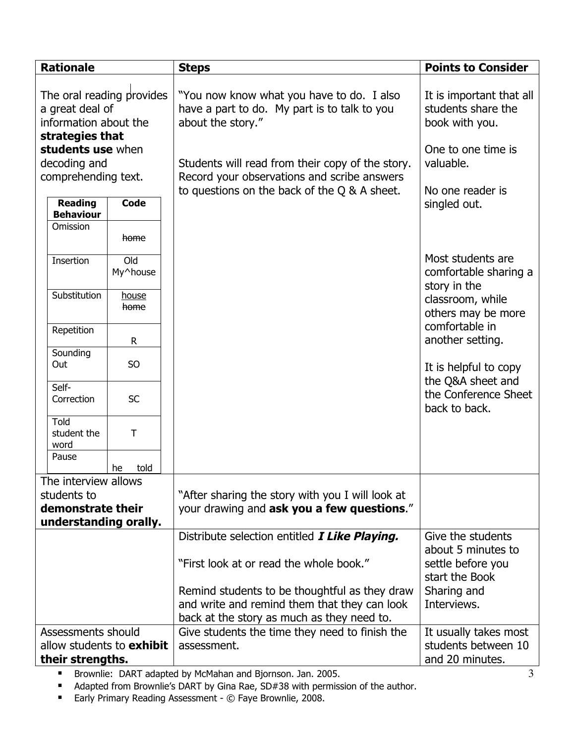| <b>Rationale</b>                                                                                              |                                    |                      | <b>Steps</b>                                                                                                   | <b>Points to Consider</b>                                                              |
|---------------------------------------------------------------------------------------------------------------|------------------------------------|----------------------|----------------------------------------------------------------------------------------------------------------|----------------------------------------------------------------------------------------|
| The oral reading provides<br>a great deal of<br>information about the<br>strategies that<br>students use when |                                    |                      | "You now know what you have to do. I also<br>have a part to do. My part is to talk to you<br>about the story." | It is important that all<br>students share the<br>book with you.<br>One to one time is |
| decoding and                                                                                                  |                                    |                      | Students will read from their copy of the story.                                                               | valuable.                                                                              |
| comprehending text.                                                                                           |                                    |                      | Record your observations and scribe answers<br>to questions on the back of the Q & A sheet.                    | No one reader is                                                                       |
|                                                                                                               | <b>Reading</b><br><b>Behaviour</b> | <b>Code</b>          |                                                                                                                | singled out.                                                                           |
|                                                                                                               | Omission                           | home                 |                                                                                                                |                                                                                        |
|                                                                                                               | Insertion                          | Old<br>My^house      |                                                                                                                | Most students are<br>comfortable sharing a<br>story in the                             |
|                                                                                                               | Substitution                       | <u>house</u><br>home |                                                                                                                | classroom, while<br>others may be more                                                 |
|                                                                                                               | Repetition                         | $\mathsf{R}$         |                                                                                                                | comfortable in<br>another setting.                                                     |
|                                                                                                               | Sounding<br>Out                    | S <sub>O</sub>       |                                                                                                                | It is helpful to copy<br>the Q&A sheet and                                             |
|                                                                                                               | Self-<br>Correction                | <b>SC</b>            |                                                                                                                | the Conference Sheet<br>back to back.                                                  |
|                                                                                                               | <b>Told</b><br>student the<br>word | T                    |                                                                                                                |                                                                                        |
|                                                                                                               | Pause                              | told<br>he           |                                                                                                                |                                                                                        |
|                                                                                                               | The interview allows               |                      |                                                                                                                |                                                                                        |
| students to                                                                                                   |                                    |                      | "After sharing the story with you I will look at                                                               |                                                                                        |
| demonstrate their<br>understanding orally.                                                                    |                                    |                      | your drawing and ask you a few questions."                                                                     |                                                                                        |
|                                                                                                               |                                    |                      | Distribute selection entitled <i>I Like Playing.</i>                                                           | Give the students                                                                      |
|                                                                                                               |                                    |                      |                                                                                                                | about 5 minutes to                                                                     |
|                                                                                                               |                                    |                      | "First look at or read the whole book."                                                                        | settle before you<br>start the Book                                                    |
|                                                                                                               |                                    |                      | Remind students to be thoughtful as they draw                                                                  | Sharing and                                                                            |
|                                                                                                               |                                    |                      | and write and remind them that they can look                                                                   | Interviews.                                                                            |
|                                                                                                               |                                    |                      | back at the story as much as they need to.                                                                     |                                                                                        |
| Assessments should                                                                                            |                                    |                      | Give students the time they need to finish the                                                                 | It usually takes most                                                                  |
| allow students to <b>exhibit</b><br>their strengths.                                                          |                                    |                      | assessment.                                                                                                    | students between 10<br>and 20 minutes.                                                 |
|                                                                                                               |                                    |                      | Brouglie: DART adapted by McMaban and Biornson, Jan. 2005                                                      |                                                                                        |

Brownlie: DART adapted by McMahan and Bjornson. Jan. 2005.

**Adapted from Brownlie's DART by Gina Rae, SD#38 with permission of the author.** 

■ Early Primary Reading Assessment - © Faye Brownlie, 2008.